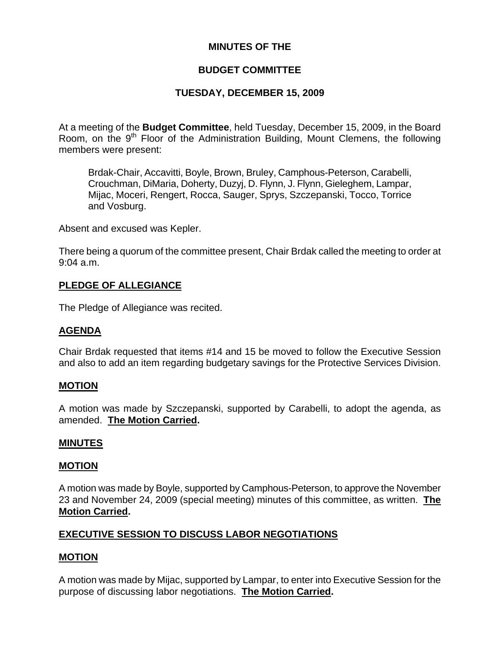# **MINUTES OF THE**

# **BUDGET COMMITTEE**

# **TUESDAY, DECEMBER 15, 2009**

At a meeting of the **Budget Committee**, held Tuesday, December 15, 2009, in the Board Room, on the  $9<sup>th</sup>$  Floor of the Administration Building, Mount Clemens, the following members were present:

Brdak-Chair, Accavitti, Boyle, Brown, Bruley, Camphous-Peterson, Carabelli, Crouchman, DiMaria, Doherty, Duzyj, D. Flynn, J. Flynn, Gieleghem, Lampar, Mijac, Moceri, Rengert, Rocca, Sauger, Sprys, Szczepanski, Tocco, Torrice and Vosburg.

Absent and excused was Kepler.

There being a quorum of the committee present, Chair Brdak called the meeting to order at 9:04 a.m.

## **PLEDGE OF ALLEGIANCE**

The Pledge of Allegiance was recited.

## **AGENDA**

Chair Brdak requested that items #14 and 15 be moved to follow the Executive Session and also to add an item regarding budgetary savings for the Protective Services Division.

## **MOTION**

A motion was made by Szczepanski, supported by Carabelli, to adopt the agenda, as amended. **The Motion Carried.** 

#### **MINUTES**

#### **MOTION**

A motion was made by Boyle, supported by Camphous-Peterson, to approve the November 23 and November 24, 2009 (special meeting) minutes of this committee, as written. **The Motion Carried.** 

## **EXECUTIVE SESSION TO DISCUSS LABOR NEGOTIATIONS**

## **MOTION**

A motion was made by Mijac, supported by Lampar, to enter into Executive Session for the purpose of discussing labor negotiations. **The Motion Carried.**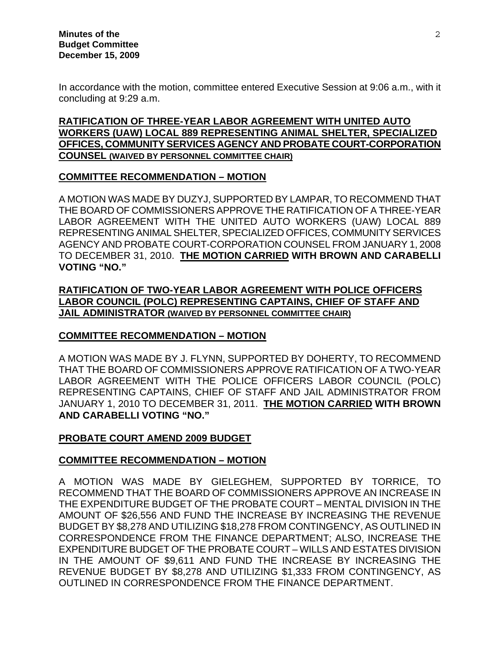In accordance with the motion, committee entered Executive Session at 9:06 a.m., with it concluding at 9:29 a.m.

# **RATIFICATION OF THREE-YEAR LABOR AGREEMENT WITH UNITED AUTO WORKERS (UAW) LOCAL 889 REPRESENTING ANIMAL SHELTER, SPECIALIZED OFFICES, COMMUNITY SERVICES AGENCY AND PROBATE COURT-CORPORATION COUNSEL (WAIVED BY PERSONNEL COMMITTEE CHAIR)**

## **COMMITTEE RECOMMENDATION – MOTION**

A MOTION WAS MADE BY DUZYJ, SUPPORTED BY LAMPAR, TO RECOMMEND THAT THE BOARD OF COMMISSIONERS APPROVE THE RATIFICATION OF A THREE-YEAR LABOR AGREEMENT WITH THE UNITED AUTO WORKERS (UAW) LOCAL 889 REPRESENTING ANIMAL SHELTER, SPECIALIZED OFFICES, COMMUNITY SERVICES AGENCY AND PROBATE COURT-CORPORATION COUNSEL FROM JANUARY 1, 2008 TO DECEMBER 31, 2010. **THE MOTION CARRIED WITH BROWN AND CARABELLI VOTING "NO."**

**RATIFICATION OF TWO-YEAR LABOR AGREEMENT WITH POLICE OFFICERS LABOR COUNCIL (POLC) REPRESENTING CAPTAINS, CHIEF OF STAFF AND JAIL ADMINISTRATOR (WAIVED BY PERSONNEL COMMITTEE CHAIR)**

# **COMMITTEE RECOMMENDATION – MOTION**

A MOTION WAS MADE BY J. FLYNN, SUPPORTED BY DOHERTY, TO RECOMMEND THAT THE BOARD OF COMMISSIONERS APPROVE RATIFICATION OF A TWO-YEAR LABOR AGREEMENT WITH THE POLICE OFFICERS LABOR COUNCIL (POLC) REPRESENTING CAPTAINS, CHIEF OF STAFF AND JAIL ADMINISTRATOR FROM JANUARY 1, 2010 TO DECEMBER 31, 2011. **THE MOTION CARRIED WITH BROWN AND CARABELLI VOTING "NO."** 

## **PROBATE COURT AMEND 2009 BUDGET**

## **COMMITTEE RECOMMENDATION – MOTION**

A MOTION WAS MADE BY GIELEGHEM, SUPPORTED BY TORRICE, TO RECOMMEND THAT THE BOARD OF COMMISSIONERS APPROVE AN INCREASE IN THE EXPENDITURE BUDGET OF THE PROBATE COURT – MENTAL DIVISION IN THE AMOUNT OF \$26,556 AND FUND THE INCREASE BY INCREASING THE REVENUE BUDGET BY \$8,278 AND UTILIZING \$18,278 FROM CONTINGENCY, AS OUTLINED IN CORRESPONDENCE FROM THE FINANCE DEPARTMENT; ALSO, INCREASE THE EXPENDITURE BUDGET OF THE PROBATE COURT – WILLS AND ESTATES DIVISION IN THE AMOUNT OF \$9,611 AND FUND THE INCREASE BY INCREASING THE REVENUE BUDGET BY \$8,278 AND UTILIZING \$1,333 FROM CONTINGENCY, AS OUTLINED IN CORRESPONDENCE FROM THE FINANCE DEPARTMENT.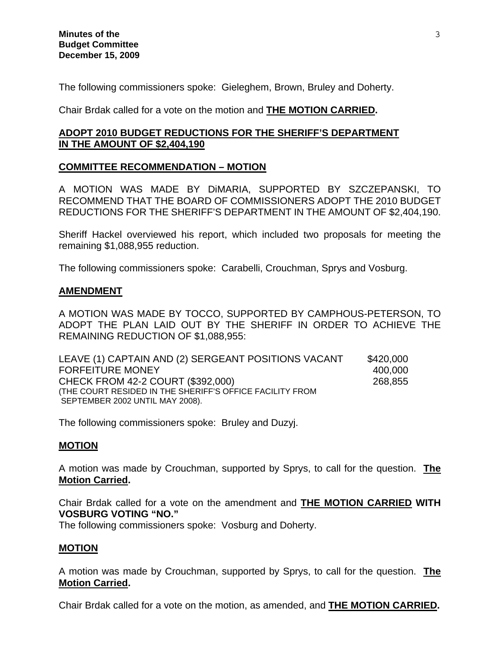The following commissioners spoke: Gieleghem, Brown, Bruley and Doherty.

Chair Brdak called for a vote on the motion and **THE MOTION CARRIED.** 

## **ADOPT 2010 BUDGET REDUCTIONS FOR THE SHERIFF'S DEPARTMENT IN THE AMOUNT OF \$2,404,190**

# **COMMITTEE RECOMMENDATION – MOTION**

A MOTION WAS MADE BY DiMARIA, SUPPORTED BY SZCZEPANSKI, TO RECOMMEND THAT THE BOARD OF COMMISSIONERS ADOPT THE 2010 BUDGET REDUCTIONS FOR THE SHERIFF'S DEPARTMENT IN THE AMOUNT OF \$2,404,190.

Sheriff Hackel overviewed his report, which included two proposals for meeting the remaining \$1,088,955 reduction.

The following commissioners spoke: Carabelli, Crouchman, Sprys and Vosburg.

#### **AMENDMENT**

A MOTION WAS MADE BY TOCCO, SUPPORTED BY CAMPHOUS-PETERSON, TO ADOPT THE PLAN LAID OUT BY THE SHERIFF IN ORDER TO ACHIEVE THE REMAINING REDUCTION OF \$1,088,955:

| LEAVE (1) CAPTAIN AND (2) SERGEANT POSITIONS VACANT      | \$420,000 |
|----------------------------------------------------------|-----------|
| <b>FORFEITURE MONEY</b>                                  | 400.000   |
| CHECK FROM 42-2 COURT (\$392,000)                        | 268,855   |
| (THE COURT RESIDED IN THE SHERIFF'S OFFICE FACILITY FROM |           |
| SEPTEMBER 2002 UNTIL MAY 2008).                          |           |

The following commissioners spoke: Bruley and Duzyj.

## **MOTION**

A motion was made by Crouchman, supported by Sprys, to call for the question. **The Motion Carried.** 

Chair Brdak called for a vote on the amendment and **THE MOTION CARRIED WITH VOSBURG VOTING "NO."** 

The following commissioners spoke: Vosburg and Doherty.

## **MOTION**

A motion was made by Crouchman, supported by Sprys, to call for the question. **The Motion Carried.** 

Chair Brdak called for a vote on the motion, as amended, and **THE MOTION CARRIED.**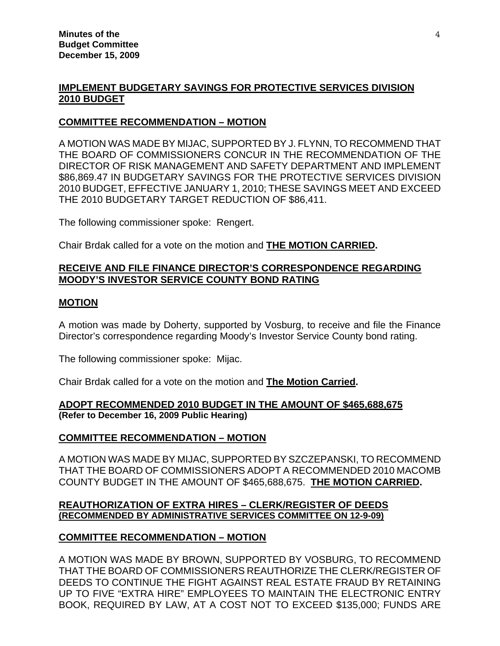#### **IMPLEMENT BUDGETARY SAVINGS FOR PROTECTIVE SERVICES DIVISION 2010 BUDGET**

#### **COMMITTEE RECOMMENDATION – MOTION**

A MOTION WAS MADE BY MIJAC, SUPPORTED BY J. FLYNN, TO RECOMMEND THAT THE BOARD OF COMMISSIONERS CONCUR IN THE RECOMMENDATION OF THE DIRECTOR OF RISK MANAGEMENT AND SAFETY DEPARTMENT AND IMPLEMENT \$86,869.47 IN BUDGETARY SAVINGS FOR THE PROTECTIVE SERVICES DIVISION 2010 BUDGET, EFFECTIVE JANUARY 1, 2010; THESE SAVINGS MEET AND EXCEED THE 2010 BUDGETARY TARGET REDUCTION OF \$86,411.

The following commissioner spoke: Rengert.

Chair Brdak called for a vote on the motion and **THE MOTION CARRIED.**

# **RECEIVE AND FILE FINANCE DIRECTOR'S CORRESPONDENCE REGARDING MOODY'S INVESTOR SERVICE COUNTY BOND RATING**

#### **MOTION**

A motion was made by Doherty, supported by Vosburg, to receive and file the Finance Director's correspondence regarding Moody's Investor Service County bond rating.

The following commissioner spoke: Mijac.

Chair Brdak called for a vote on the motion and **The Motion Carried.** 

#### **ADOPT RECOMMENDED 2010 BUDGET IN THE AMOUNT OF \$465,688,675 (Refer to December 16, 2009 Public Hearing)**

## **COMMITTEE RECOMMENDATION – MOTION**

A MOTION WAS MADE BY MIJAC, SUPPORTED BY SZCZEPANSKI, TO RECOMMEND THAT THE BOARD OF COMMISSIONERS ADOPT A RECOMMENDED 2010 MACOMB COUNTY BUDGET IN THE AMOUNT OF \$465,688,675. **THE MOTION CARRIED.**

#### **REAUTHORIZATION OF EXTRA HIRES – CLERK/REGISTER OF DEEDS (RECOMMENDED BY ADMINISTRATIVE SERVICES COMMITTEE ON 12-9-09)**

## **COMMITTEE RECOMMENDATION – MOTION**

A MOTION WAS MADE BY BROWN, SUPPORTED BY VOSBURG, TO RECOMMEND THAT THE BOARD OF COMMISSIONERS REAUTHORIZE THE CLERK/REGISTER OF DEEDS TO CONTINUE THE FIGHT AGAINST REAL ESTATE FRAUD BY RETAINING UP TO FIVE "EXTRA HIRE" EMPLOYEES TO MAINTAIN THE ELECTRONIC ENTRY BOOK, REQUIRED BY LAW, AT A COST NOT TO EXCEED \$135,000; FUNDS ARE